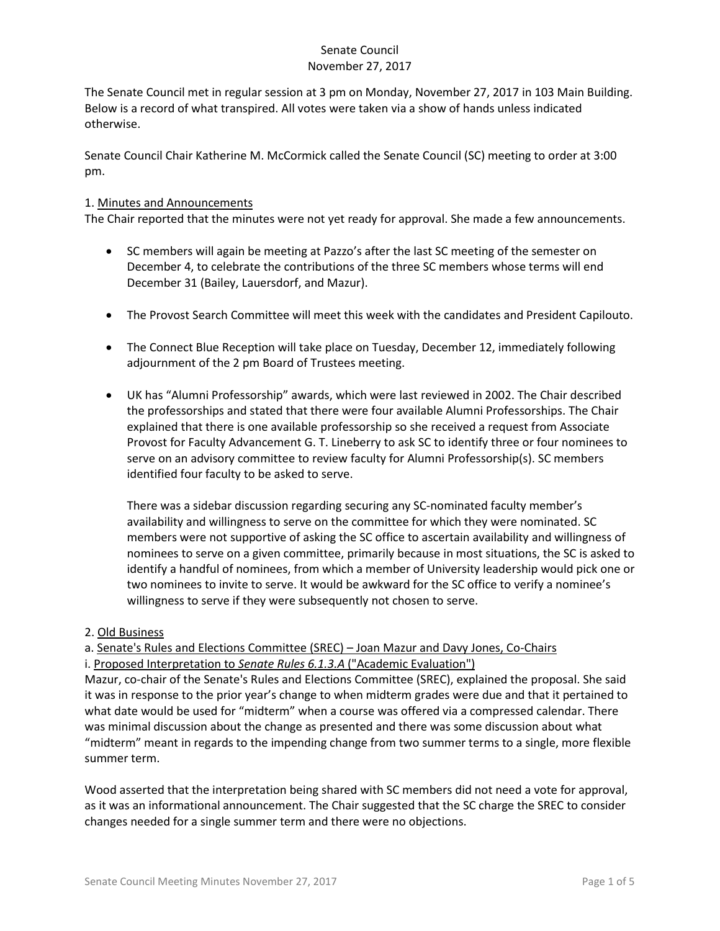The Senate Council met in regular session at 3 pm on Monday, November 27, 2017 in 103 Main Building. Below is a record of what transpired. All votes were taken via a show of hands unless indicated otherwise.

Senate Council Chair Katherine M. McCormick called the Senate Council (SC) meeting to order at 3:00 pm.

#### 1. Minutes and Announcements

The Chair reported that the minutes were not yet ready for approval. She made a few announcements.

- SC members will again be meeting at Pazzo's after the last SC meeting of the semester on December 4, to celebrate the contributions of the three SC members whose terms will end December 31 (Bailey, Lauersdorf, and Mazur).
- The Provost Search Committee will meet this week with the candidates and President Capilouto.
- The Connect Blue Reception will take place on Tuesday, December 12, immediately following adjournment of the 2 pm Board of Trustees meeting.
- UK has "Alumni Professorship" awards, which were last reviewed in 2002. The Chair described the professorships and stated that there were four available Alumni Professorships. The Chair explained that there is one available professorship so she received a request from Associate Provost for Faculty Advancement G. T. Lineberry to ask SC to identify three or four nominees to serve on an advisory committee to review faculty for Alumni Professorship(s). SC members identified four faculty to be asked to serve.

There was a sidebar discussion regarding securing any SC-nominated faculty member's availability and willingness to serve on the committee for which they were nominated. SC members were not supportive of asking the SC office to ascertain availability and willingness of nominees to serve on a given committee, primarily because in most situations, the SC is asked to identify a handful of nominees, from which a member of University leadership would pick one or two nominees to invite to serve. It would be awkward for the SC office to verify a nominee's willingness to serve if they were subsequently not chosen to serve.

#### 2. Old Business

a. Senate's Rules and Elections Committee (SREC) – Joan Mazur and Davy Jones, Co-Chairs i. Proposed Interpretation to *Senate Rules 6.1.3.A* ("Academic Evaluation")

Mazur, co-chair of the Senate's Rules and Elections Committee (SREC), explained the proposal. She said it was in response to the prior year's change to when midterm grades were due and that it pertained to what date would be used for "midterm" when a course was offered via a compressed calendar. There was minimal discussion about the change as presented and there was some discussion about what "midterm" meant in regards to the impending change from two summer terms to a single, more flexible summer term.

Wood asserted that the interpretation being shared with SC members did not need a vote for approval, as it was an informational announcement. The Chair suggested that the SC charge the SREC to consider changes needed for a single summer term and there were no objections.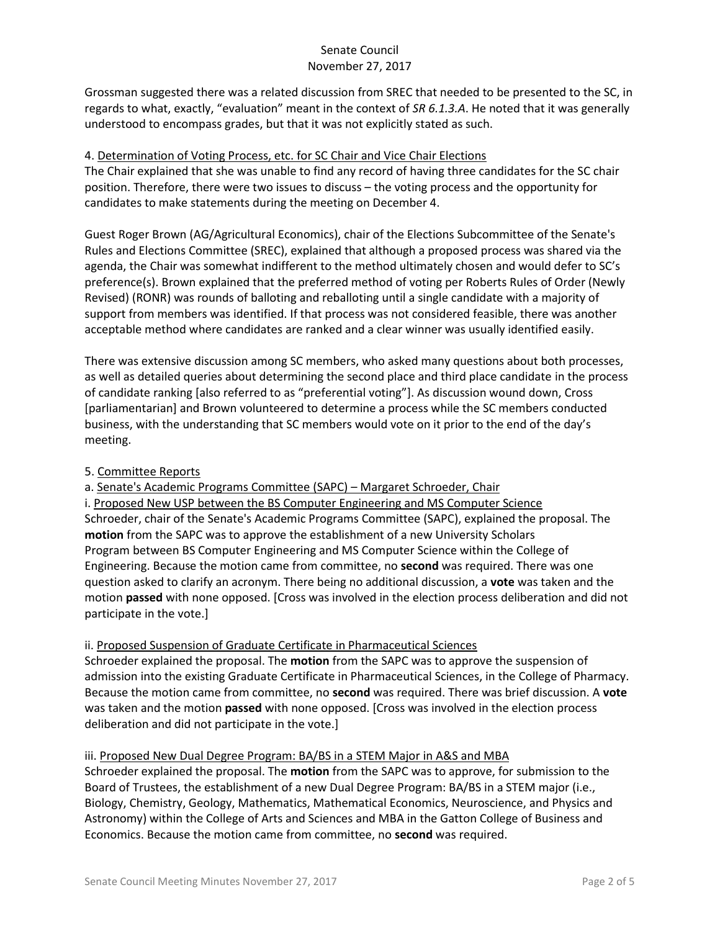Grossman suggested there was a related discussion from SREC that needed to be presented to the SC, in regards to what, exactly, "evaluation" meant in the context of *SR 6.1.3.A*. He noted that it was generally understood to encompass grades, but that it was not explicitly stated as such.

# 4. Determination of Voting Process, etc. for SC Chair and Vice Chair Elections

The Chair explained that she was unable to find any record of having three candidates for the SC chair position. Therefore, there were two issues to discuss – the voting process and the opportunity for candidates to make statements during the meeting on December 4.

Guest Roger Brown (AG/Agricultural Economics), chair of the Elections Subcommittee of the Senate's Rules and Elections Committee (SREC), explained that although a proposed process was shared via the agenda, the Chair was somewhat indifferent to the method ultimately chosen and would defer to SC's preference(s). Brown explained that the preferred method of voting per Roberts Rules of Order (Newly Revised) (RONR) was rounds of balloting and reballoting until a single candidate with a majority of support from members was identified. If that process was not considered feasible, there was another acceptable method where candidates are ranked and a clear winner was usually identified easily.

There was extensive discussion among SC members, who asked many questions about both processes, as well as detailed queries about determining the second place and third place candidate in the process of candidate ranking [also referred to as "preferential voting"]. As discussion wound down, Cross [parliamentarian] and Brown volunteered to determine a process while the SC members conducted business, with the understanding that SC members would vote on it prior to the end of the day's meeting.

# 5. Committee Reports

a. Senate's Academic Programs Committee (SAPC) – Margaret Schroeder, Chair

i. Proposed New USP between the BS Computer Engineering and MS Computer Science Schroeder, chair of the Senate's Academic Programs Committee (SAPC), explained the proposal. The **motion** from the SAPC was to approve the establishment of a new University Scholars Program between BS Computer Engineering and MS Computer Science within the College of Engineering. Because the motion came from committee, no **second** was required. There was one question asked to clarify an acronym. There being no additional discussion, a **vote** was taken and the motion **passed** with none opposed. [Cross was involved in the election process deliberation and did not participate in the vote.]

# ii. Proposed Suspension of Graduate Certificate in Pharmaceutical Sciences

Schroeder explained the proposal. The **motion** from the SAPC was to approve the suspension of admission into the existing Graduate Certificate in Pharmaceutical Sciences, in the College of Pharmacy. Because the motion came from committee, no **second** was required. There was brief discussion. A **vote** was taken and the motion **passed** with none opposed. [Cross was involved in the election process deliberation and did not participate in the vote.]

### iii. Proposed New Dual Degree Program: BA/BS in a STEM Major in A&S and MBA

Schroeder explained the proposal. The **motion** from the SAPC was to approve, for submission to the Board of Trustees, the establishment of a new Dual Degree Program: BA/BS in a STEM major (i.e., Biology, Chemistry, Geology, Mathematics, Mathematical Economics, Neuroscience, and Physics and Astronomy) within the College of Arts and Sciences and MBA in the Gatton College of Business and Economics. Because the motion came from committee, no **second** was required.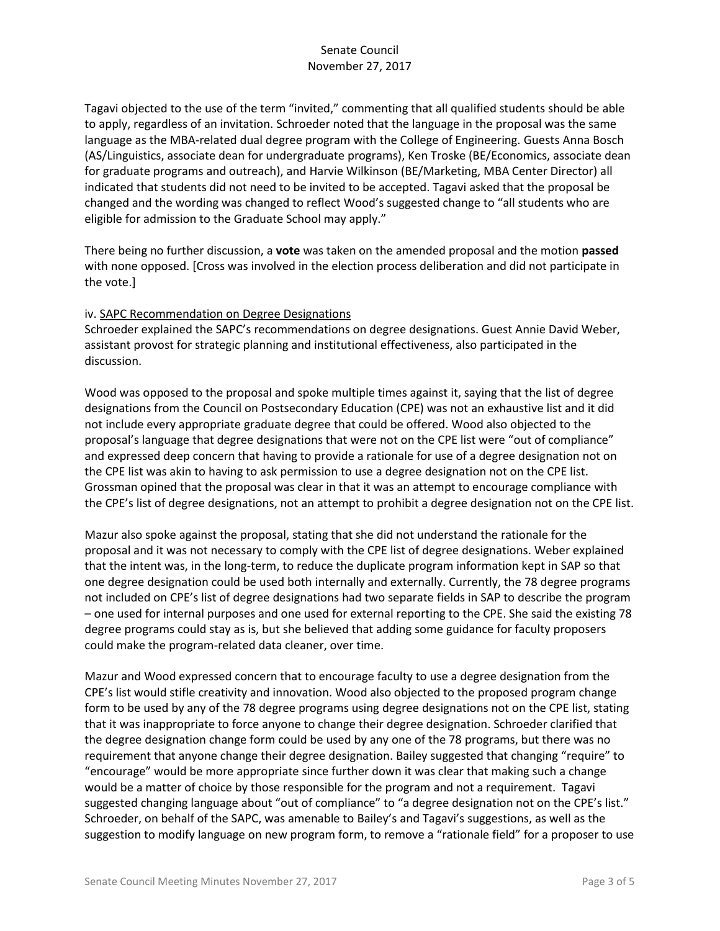Tagavi objected to the use of the term "invited," commenting that all qualified students should be able to apply, regardless of an invitation. Schroeder noted that the language in the proposal was the same language as the MBA-related dual degree program with the College of Engineering. Guests Anna Bosch (AS/Linguistics, associate dean for undergraduate programs), Ken Troske (BE/Economics, associate dean for graduate programs and outreach), and Harvie Wilkinson (BE/Marketing, MBA Center Director) all indicated that students did not need to be invited to be accepted. Tagavi asked that the proposal be changed and the wording was changed to reflect Wood's suggested change to "all students who are eligible for admission to the Graduate School may apply."

There being no further discussion, a **vote** was taken on the amended proposal and the motion **passed** with none opposed. [Cross was involved in the election process deliberation and did not participate in the vote.]

#### iv. SAPC Recommendation on Degree Designations

Schroeder explained the SAPC's recommendations on degree designations. Guest Annie David Weber, assistant provost for strategic planning and institutional effectiveness, also participated in the discussion.

Wood was opposed to the proposal and spoke multiple times against it, saying that the list of degree designations from the Council on Postsecondary Education (CPE) was not an exhaustive list and it did not include every appropriate graduate degree that could be offered. Wood also objected to the proposal's language that degree designations that were not on the CPE list were "out of compliance" and expressed deep concern that having to provide a rationale for use of a degree designation not on the CPE list was akin to having to ask permission to use a degree designation not on the CPE list. Grossman opined that the proposal was clear in that it was an attempt to encourage compliance with the CPE's list of degree designations, not an attempt to prohibit a degree designation not on the CPE list.

Mazur also spoke against the proposal, stating that she did not understand the rationale for the proposal and it was not necessary to comply with the CPE list of degree designations. Weber explained that the intent was, in the long-term, to reduce the duplicate program information kept in SAP so that one degree designation could be used both internally and externally. Currently, the 78 degree programs not included on CPE's list of degree designations had two separate fields in SAP to describe the program – one used for internal purposes and one used for external reporting to the CPE. She said the existing 78 degree programs could stay as is, but she believed that adding some guidance for faculty proposers could make the program-related data cleaner, over time.

Mazur and Wood expressed concern that to encourage faculty to use a degree designation from the CPE's list would stifle creativity and innovation. Wood also objected to the proposed program change form to be used by any of the 78 degree programs using degree designations not on the CPE list, stating that it was inappropriate to force anyone to change their degree designation. Schroeder clarified that the degree designation change form could be used by any one of the 78 programs, but there was no requirement that anyone change their degree designation. Bailey suggested that changing "require" to "encourage" would be more appropriate since further down it was clear that making such a change would be a matter of choice by those responsible for the program and not a requirement. Tagavi suggested changing language about "out of compliance" to "a degree designation not on the CPE's list." Schroeder, on behalf of the SAPC, was amenable to Bailey's and Tagavi's suggestions, as well as the suggestion to modify language on new program form, to remove a "rationale field" for a proposer to use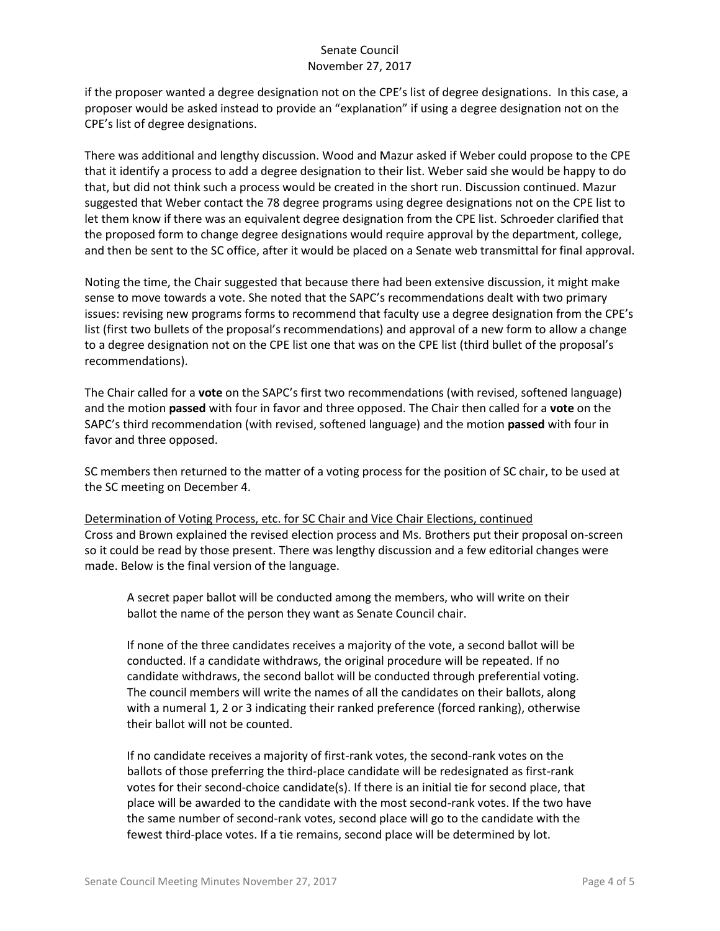if the proposer wanted a degree designation not on the CPE's list of degree designations. In this case, a proposer would be asked instead to provide an "explanation" if using a degree designation not on the CPE's list of degree designations.

There was additional and lengthy discussion. Wood and Mazur asked if Weber could propose to the CPE that it identify a process to add a degree designation to their list. Weber said she would be happy to do that, but did not think such a process would be created in the short run. Discussion continued. Mazur suggested that Weber contact the 78 degree programs using degree designations not on the CPE list to let them know if there was an equivalent degree designation from the CPE list. Schroeder clarified that the proposed form to change degree designations would require approval by the department, college, and then be sent to the SC office, after it would be placed on a Senate web transmittal for final approval.

Noting the time, the Chair suggested that because there had been extensive discussion, it might make sense to move towards a vote. She noted that the SAPC's recommendations dealt with two primary issues: revising new programs forms to recommend that faculty use a degree designation from the CPE's list (first two bullets of the proposal's recommendations) and approval of a new form to allow a change to a degree designation not on the CPE list one that was on the CPE list (third bullet of the proposal's recommendations).

The Chair called for a **vote** on the SAPC's first two recommendations (with revised, softened language) and the motion **passed** with four in favor and three opposed. The Chair then called for a **vote** on the SAPC's third recommendation (with revised, softened language) and the motion **passed** with four in favor and three opposed.

SC members then returned to the matter of a voting process for the position of SC chair, to be used at the SC meeting on December 4.

Determination of Voting Process, etc. for SC Chair and Vice Chair Elections, continued Cross and Brown explained the revised election process and Ms. Brothers put their proposal on-screen so it could be read by those present. There was lengthy discussion and a few editorial changes were made. Below is the final version of the language.

A secret paper ballot will be conducted among the members, who will write on their ballot the name of the person they want as Senate Council chair.

If none of the three candidates receives a majority of the vote, a second ballot will be conducted. If a candidate withdraws, the original procedure will be repeated. If no candidate withdraws, the second ballot will be conducted through preferential voting. The council members will write the names of all the candidates on their ballots, along with a numeral 1, 2 or 3 indicating their ranked preference (forced ranking), otherwise their ballot will not be counted.

If no candidate receives a majority of first-rank votes, the second-rank votes on the ballots of those preferring the third-place candidate will be redesignated as first-rank votes for their second-choice candidate(s). If there is an initial tie for second place, that place will be awarded to the candidate with the most second-rank votes. If the two have the same number of second-rank votes, second place will go to the candidate with the fewest third-place votes. If a tie remains, second place will be determined by lot.